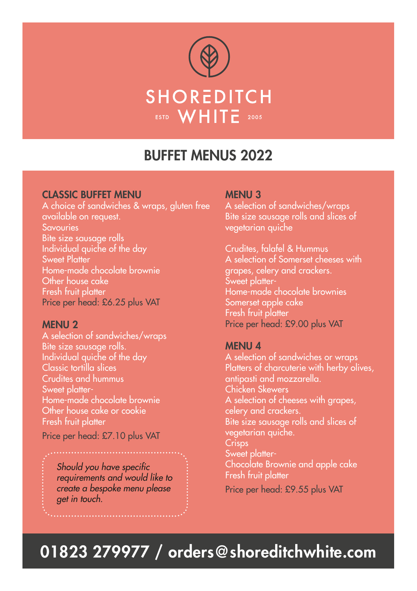

## BUFFET MENUS 2022

### CLASSIC BUFFET MENU

A choice of sandwiches & wraps, gluten free available on request. **Savouries** Bite size sausage rolls Individual quiche of the day **Sweet Platter** Home-made chocolate brownie Other house cake Fresh fruit platter Price per head: £6.25 plus VAT

#### MENU 2

A selection of sandwiches/wraps Bite size sausage rolls. Individual quiche of the day Classic tortilla slices Crudites and hummus Sweet platter-Home-made chocolate brownie Other house cake or cookie Fresh fruit platter

Price per head: £7.10 plus VAT

*Should you have specific requirements and would like to create a bespoke menu please get in touch.*

### MENU 3

A selection of sandwiches/wraps Bite size sausage rolls and slices of vegetarian quiche

Crudites, falafel & Hummus A selection of Somerset cheeses with grapes, celery and crackers. Sweet platter-Home-made chocolate brownies Somerset apple cake Fresh fruit platter Price per head: £9.00 plus VAT

### MENU 4

A selection of sandwiches or wraps Platters of charcuterie with herby olives, antipasti and mozzarella. Chicken Skewers A selection of cheeses with grapes, celery and crackers. Bite size sausage rolls and slices of vegetarian quiche. **Crisps** Sweet platter-Chocolate Brownie and apple cake Fresh fruit platter Price per head: £9.55 plus VAT

# 01823 279977 / orders@shoreditchwhite.com